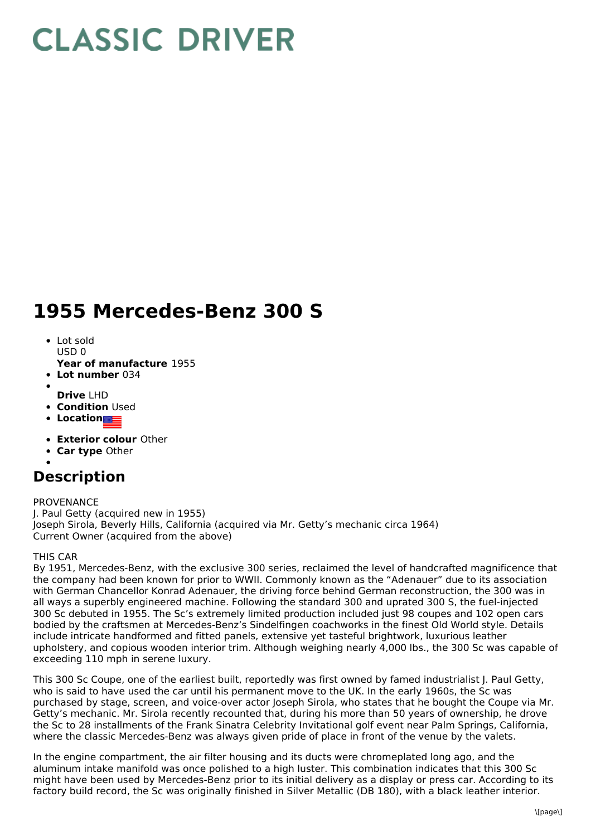# **CLASSIC DRIVER**

## **1955 Mercedes-Benz 300 S**

- Lot sold  $USDO$
- **Year of manufacture** 1955
- **Lot number** 034
- 
- **Drive** LHD **• Condition Used**
- **Location**
- 
- **Exterior colour** Other
- **Car type** Other

## **Description**

### PROVENANCE

J. Paul Getty (acquired new in 1955) Joseph Sirola, Beverly Hills, California (acquired via Mr. Getty's mechanic circa 1964) Current Owner (acquired from the above)

### THIS CAR

By 1951, Mercedes-Benz, with the exclusive 300 series, reclaimed the level of handcrafted magnificence that the company had been known for prior to WWII. Commonly known as the "Adenauer" due to its association with German Chancellor Konrad Adenauer, the driving force behind German reconstruction, the 300 was in all ways a superbly engineered machine. Following the standard 300 and uprated 300 S, the fuel-injected 300 Sc debuted in 1955. The Sc's extremely limited production included just 98 coupes and 102 open cars bodied by the craftsmen at Mercedes-Benz's Sindelfingen coachworks in the finest Old World style. Details include intricate handformed and fitted panels, extensive yet tasteful brightwork, luxurious leather upholstery, and copious wooden interior trim. Although weighing nearly 4,000 lbs., the 300 Sc was capable of exceeding 110 mph in serene luxury.

This 300 Sc Coupe, one of the earliest built, reportedly was first owned by famed industrialist J. Paul Getty, who is said to have used the car until his permanent move to the UK. In the early 1960s, the Sc was purchased by stage, screen, and voice-over actor Joseph Sirola, who states that he bought the Coupe via Mr. Getty's mechanic. Mr. Sirola recently recounted that, during his more than 50 years of ownership, he drove the Sc to 28 installments of the Frank Sinatra Celebrity Invitational golf event near Palm Springs, California, where the classic Mercedes-Benz was always given pride of place in front of the venue by the valets.

In the engine compartment, the air filter housing and its ducts were chromeplated long ago, and the aluminum intake manifold was once polished to a high luster. This combination indicates that this 300 Sc might have been used by Mercedes-Benz prior to its initial delivery as a display or press car. According to its factory build record, the Sc was originally finished in Silver Metallic (DB 180), with a black leather interior.